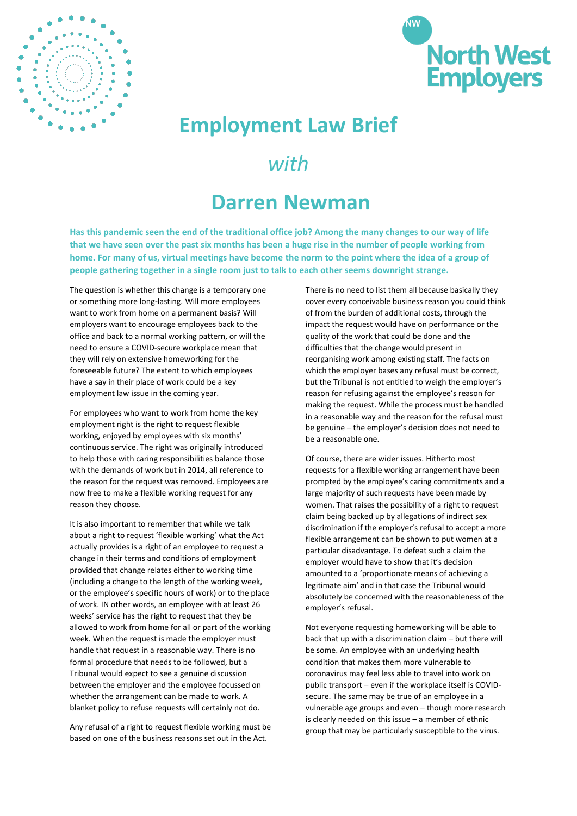



## **Employment Law Brief**

## *with*

## **Darren Newman**

**Has this pandemic seen the end of the traditional office job? Among the many changes to our way of life that we have seen over the past six months has been a huge rise in the number of people working from home. For many of us, virtual meetings have become the norm to the point where the idea of a group of people gathering together in a single room just to talk to each other seems downright strange.** 

The question is whether this change is a temporary one or something more long-lasting. Will more employees want to work from home on a permanent basis? Will employers want to encourage employees back to the office and back to a normal working pattern, or will the need to ensure a COVID-secure workplace mean that they will rely on extensive homeworking for the foreseeable future? The extent to which employees have a say in their place of work could be a key employment law issue in the coming year.

For employees who want to work from home the key employment right is the right to request flexible working, enjoyed by employees with six months' continuous service. The right was originally introduced to help those with caring responsibilities balance those with the demands of work but in 2014, all reference to the reason for the request was removed. Employees are now free to make a flexible working request for any reason they choose.

It is also important to remember that while we talk about a right to request 'flexible working' what the Act actually provides is a right of an employee to request a change in their terms and conditions of employment provided that change relates either to working time (including a change to the length of the working week, or the employee's specific hours of work) or to the place of work. IN other words, an employee with at least 26 weeks' service has the right to request that they be allowed to work from home for all or part of the working week. When the request is made the employer must handle that request in a reasonable way. There is no formal procedure that needs to be followed, but a Tribunal would expect to see a genuine discussion between the employer and the employee focussed on whether the arrangement can be made to work. A blanket policy to refuse requests will certainly not do.

Any refusal of a right to request flexible working must be based on one of the business reasons set out in the Act.

There is no need to list them all because basically they cover every conceivable business reason you could think of from the burden of additional costs, through the impact the request would have on performance or the quality of the work that could be done and the difficulties that the change would present in reorganising work among existing staff. The facts on which the employer bases any refusal must be correct, but the Tribunal is not entitled to weigh the employer's reason for refusing against the employee's reason for making the request. While the process must be handled in a reasonable way and the reason for the refusal must be genuine – the employer's decision does not need to be a reasonable one.

Of course, there are wider issues. Hitherto most requests for a flexible working arrangement have been prompted by the employee's caring commitments and a large majority of such requests have been made by women. That raises the possibility of a right to request claim being backed up by allegations of indirect sex discrimination if the employer's refusal to accept a more flexible arrangement can be shown to put women at a particular disadvantage. To defeat such a claim the employer would have to show that it's decision amounted to a 'proportionate means of achieving a legitimate aim' and in that case the Tribunal would absolutely be concerned with the reasonableness of the employer's refusal.

Not everyone requesting homeworking will be able to back that up with a discrimination claim – but there will be some. An employee with an underlying health condition that makes them more vulnerable to coronavirus may feel less able to travel into work on public transport – even if the workplace itself is COVIDsecure. The same may be true of an employee in a vulnerable age groups and even – though more research is clearly needed on this issue – a member of ethnic group that may be particularly susceptible to the virus.